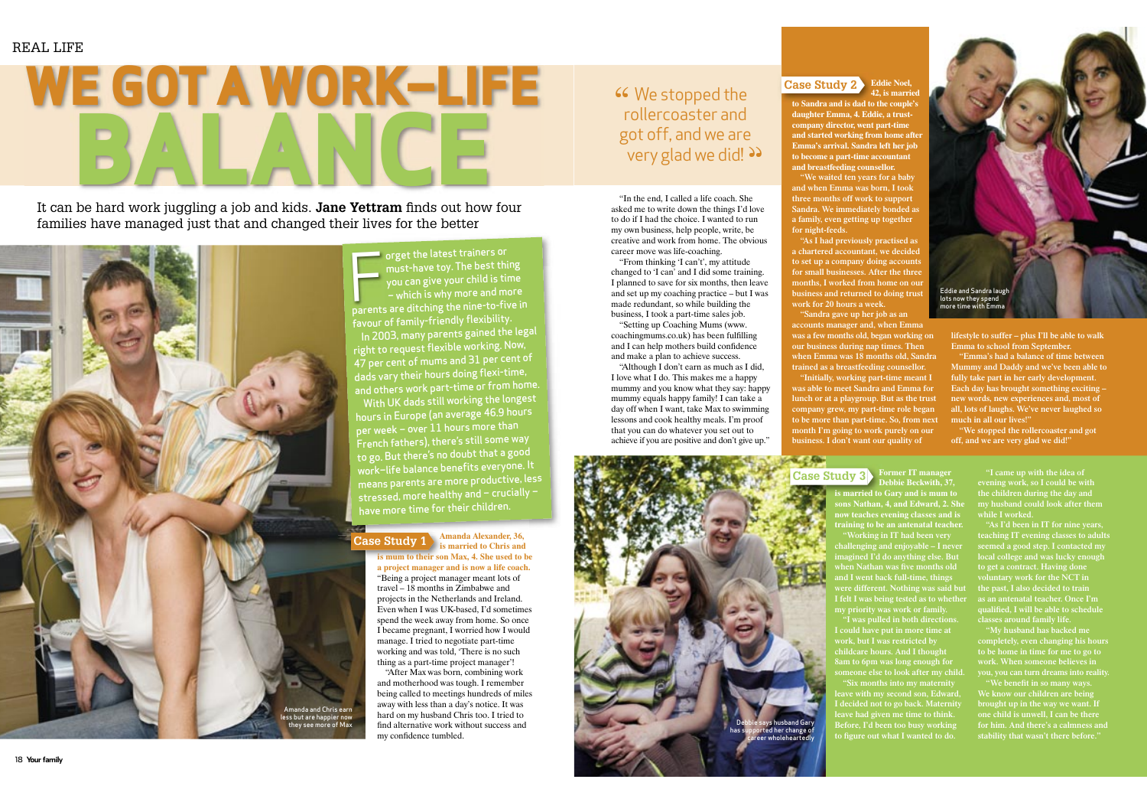**Case Study 1 Amanda Alexander, 36, is married to Chris and is mum to their son Max, 4. She used to be a project manager and is now a life coach.** "Being a project manager meant lots of travel – 18 months in Zimbabwe and projects in the Netherlands and Ireland. Even when I was UK-based, I'd sometimes spend the week away from home. So once I became pregnant, I worried how I would manage. I tried to negotiate part-time working and was told, 'There is no such thing as a part-time project manager'!

> "After Max was born, combining work and motherhood was tough. I remember being called to meetings hundreds of miles away with less than a day's notice. It was hard on my husband Chris too. I tried to find alternative work without success and my confidence tumbled.

## **46** We stopped the rollercoaster and rollercoaster and got off, and we are very glad we did! >>

It can be hard work juggling a job and kids. **Jane Yettram** finds out how four families have managed just that and changed their lives for the better

> **orget the latest trainers or** must-have toy. The best thing you can give your child is time – which is why more and more parents are ditching the nine-to-five in favour of fam<sup>i</sup>ly-friend<sup>l</sup><sup>y</sup> flexibility. In 2003, many parents gained the legal right to reques<sup>t</sup> flexible working. Now, 47 per cent of mums and 31 per cent of dads vary their hours doing flexi-time, and others work part-time or from home. With UK dads still working the longest hours in Europe (an average 46.9 hours per week – over 11 hours more than French fathers), there's still some way to go. But there's no doubt that <sup>a</sup> goo<sup>d</sup> work–life balance benefits everyone. It means parents are more productive, less stressed, more healthy and – crucially – have more time for their children. F

**Case Study 3 Former IT manager Debbie Beckwith, 37, is married to Gary and is mum to sons Nathan, 4, and Edward, 2. She now teaches evening classes and is training to be an antenatal teacher. "Working in IT had been very challenging and enjoyable – I never imagined I'd do anything else. But**  when Nathan was five months old **and I went back full-time, things were different. Nothing was said but I felt I was being tested as to whether my priority was work or family. "I was pulled in both directions. I could have put in more time at work, but I was restricted by childcare hours. And I thought 8am to 6pm was long enough for I decided not to go back. Maternity leave had given me time to think. Before, I'd been too busy working**  to figure out what I wanted to do.

# **WE GOT A WORK–LIFE BALANCE**



"In the end, I called a life coach. She asked me to write down the things I'd love to do if I had the choice. I wanted to run my own business, help people, write, be creative and work from home. The obvious career move was life-coaching.

"From thinking 'I can't', my attitude changed to 'I can' and I did some training. I planned to save for six months, then leave and set up my coaching practice – but I was made redundant, so while building the business, I took a part-time sales job.

"Setting up Coaching Mums (www. coachingmums.co.uk) has been fulfilling and I can help mothers build confidence and make a plan to achieve success.

"Although I don't earn as much as I did, I love what I do. This makes me a happy mummy and you know what they say: happy mummy equals happy family! I can take a day off when I want, take Max to swimming lessons and cook healthy meals. I'm proof that you can do whatever you set out to achieve if you are positive and don't give up."

## **Case Study 2 Eddie Noel,**

**42, is married to Sandra and is dad to the couple's "We waited ten years for a baby** 

**daughter Emma, 4. Eddie, a trustcompany director, went part-time and started working from home after Emma's arrival. Sandra left her job to become a part-time accountant and breastfeeding counsellor.** 

**and when Emma was born, I took three months off work to support Sandra. We immediately bonded as a family, even getting up together for night-feeds.**

**"As I had previously practised as a chartered accountant, we decided to set up a company doing accounts for small businesses. After the three months, I worked from home on our business and returned to doing trust work for 20 hours a week.**

**"Sandra gave up her job as an accounts manager and, when Emma was a few months old, began working on our business during nap times. Then when Emma was 18 months old, Sandra trained as a breastfeeding counsellor. "Initially, working part-time meant I was able to meet Sandra and Emma for lunch or at a playgroup. But as the trust company grew, my part-time role began to be more than part-time. So, from next month I'm going to work purely on our business. I don't want our quality of** 

**lifestyle to suffer – plus I'll be able to walk Emma to school from September.**

**"Emma's had a balance of time between Mummy and Daddy and we've been able to fully take part in her early development. Each day has brought something exciting – new words, new experiences and, most of all, lots of laughs. We've never laughed so much in all our lives!"**

**"We stopped the rollercoaster and got off, and we are very glad we did!"**

> **evening work, so I could be with the children during the day and my husband could look after them while I worked.**

**"As I'd been in IT for nine years, teaching IT evening classes to adults seemed a good step. I contacted my local college and was lucky enough to get a contract. Having done voluntary work for the NCT in the past, I also decided to train as an antenatal teacher. Once I'm qualifi ed, I will be able to schedule classes around family life.**

**"My husband has backed me completely, even changing his hours to be home in time for me to go to** 

**We know our children are being for him. And there's a calmness and stability that wasn't there before."**